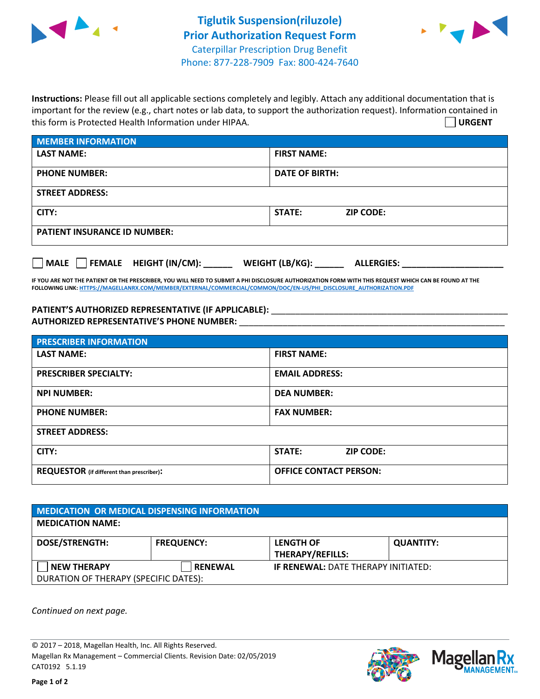



**Instructions:** Please fill out all applicable sections completely and legibly. Attach any additional documentation that is important for the review (e.g., chart notes or lab data, to support the authorization request). Information contained in this form is Protected Health Information under HIPAA. **URGENT**

| <b>MEMBER INFORMATION</b>             |                                      |  |  |  |
|---------------------------------------|--------------------------------------|--|--|--|
| <b>LAST NAME:</b>                     | <b>FIRST NAME:</b>                   |  |  |  |
| <b>PHONE NUMBER:</b>                  | <b>DATE OF BIRTH:</b>                |  |  |  |
| <b>STREET ADDRESS:</b>                |                                      |  |  |  |
| CITY:                                 | STATE:<br><b>ZIP CODE:</b>           |  |  |  |
| <b>PATIENT INSURANCE ID NUMBER:</b>   |                                      |  |  |  |
| FEMALE HEIGHT (IN/CM):<br><b>MALE</b> | WEIGHT (LB/KG):<br><b>ALLERGIES:</b> |  |  |  |

**IF YOU ARE NOT THE PATIENT OR THE PRESCRIBER, YOU WILL NEED TO SUBMIT A PHI DISCLOSURE AUTHORIZATION FORM WITH THIS REQUEST WHICH CAN BE FOUND AT THE FOLLOWING LINK[: HTTPS://MAGELLANRX.COM/MEMBER/EXTERNAL/COMMERCIAL/COMMON/DOC/EN-US/PHI\\_DISCLOSURE\\_AUTHORIZATION.PDF](https://magellanrx.com/member/external/commercial/common/doc/en-us/PHI_Disclosure_Authorization.pdf)**

PATIENT'S AUTHORIZED REPRESENTATIVE (IF APPLICABLE): \_\_\_\_\_\_\_\_\_\_\_\_\_\_\_\_\_\_\_\_\_\_\_\_\_\_\_ **AUTHORIZED REPRESENTATIVE'S PHONE NUMBER:** \_\_\_\_\_\_\_\_\_\_\_\_\_\_\_\_\_\_\_\_\_\_\_\_\_\_\_\_\_\_\_\_\_\_\_\_\_\_\_\_\_\_\_\_\_\_\_\_\_\_\_\_\_\_\_

| <b>PRESCRIBER INFORMATION</b>             |                               |  |  |  |
|-------------------------------------------|-------------------------------|--|--|--|
| <b>LAST NAME:</b>                         | <b>FIRST NAME:</b>            |  |  |  |
| <b>PRESCRIBER SPECIALTY:</b>              | <b>EMAIL ADDRESS:</b>         |  |  |  |
| <b>NPI NUMBER:</b>                        | <b>DEA NUMBER:</b>            |  |  |  |
| <b>PHONE NUMBER:</b>                      | <b>FAX NUMBER:</b>            |  |  |  |
| <b>STREET ADDRESS:</b>                    |                               |  |  |  |
| CITY:                                     | STATE:<br><b>ZIP CODE:</b>    |  |  |  |
| REQUESTOR (if different than prescriber): | <b>OFFICE CONTACT PERSON:</b> |  |  |  |

| MEDICATION OR MEDICAL DISPENSING INFORMATION |                   |                                            |                  |  |  |
|----------------------------------------------|-------------------|--------------------------------------------|------------------|--|--|
| <b>MEDICATION NAME:</b>                      |                   |                                            |                  |  |  |
| <b>DOSE/STRENGTH:</b>                        | <b>FREQUENCY:</b> | <b>LENGTH OF</b>                           | <b>QUANTITY:</b> |  |  |
|                                              |                   | <b>THERAPY/REFILLS:</b>                    |                  |  |  |
| <b>NEW THERAPY</b>                           | <b>RENEWAL</b>    | <b>IF RENEWAL: DATE THERAPY INITIATED:</b> |                  |  |  |
| DURATION OF THERAPY (SPECIFIC DATES):        |                   |                                            |                  |  |  |

*Continued on next page.*

© 2017 – 2018, Magellan Health, Inc. All Rights Reserved. Magellan Rx Management – Commercial Clients. Revision Date: 02/05/2019 CAT0192 5.1.19